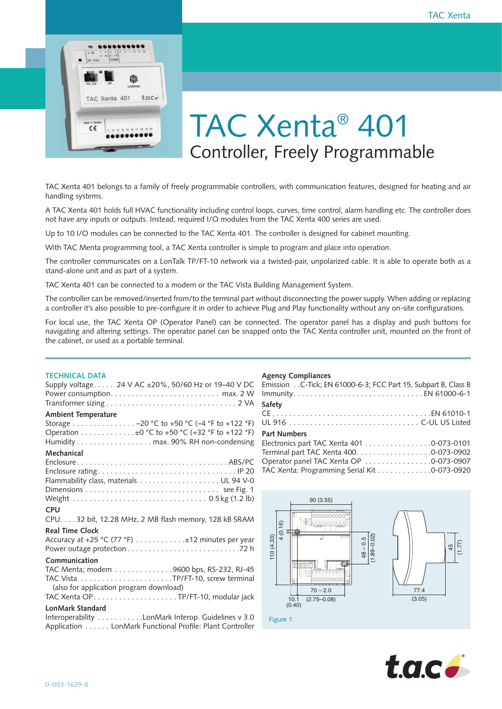

# TAC Xenta® 401 Controller, Freely Programmable

TAC Xenta 401 belongs to a family of freely programmable controllers, with communication features, designed for heating and air handling systems.

A TAC Xenta 401 holds full HVAC functionality including control loops, curves, time control, alarm handling etc. The controller does not have any inputs or outputs. Instead, required I/O modules from the TAC Xenta 400 series are used.

Up to 10 I/O modules can be connected to the TAC Xenta 401. The controller is designed for cabinet mounting.

With TAC Menta programming tool, a TAC Xenta controller is simple to program and place into operation.

The controller communicates on a LonTalk TP/FT-10 network via a twisted-pair, unpolarized cable. It is able to operate both as a stand-alone unit and as part of a system.

TAC Xenta 401 can be connected to a modem or the TAC Vista Building Management System.

The controller can be removed/inserted from/to the terminal part without disconnecting the power supply. When adding or replacing a controller it's also possible to pre-configure it in order to achieve Plug and Play functionality without any on-site configurations.

For local use, the TAC Xenta OP (Operator Panel) can be connected. The operator panel has a display and push buttons for navigating and altering settings. The operator panel can be snapped onto the TAC Xenta controller unit, mounted on the front of the cabinet, or used as a portable terminal.

## **TECHNICAL DATA**

| Supply voltage. 24 V AC ±20%, 50/60 Hz or 19-40 V DC                                                                                |
|-------------------------------------------------------------------------------------------------------------------------------------|
| <b>Ambient Temperature</b>                                                                                                          |
| Storage -20 °C to +50 °C (-4 °F to +122 °F)<br>Operation ±0 °C to +50 °C (+32 °F to +122 °F)<br>Humidity max. 90% RH non-condensing |
| Mechanical<br>Flammability class, materials UL 94 V-0                                                                               |
| <b>CPU</b><br>CPU. 32 bit, 12.28 MHz, 2 MB flash memory, 128 kB SRAM                                                                |
| <b>Real Time Clock</b><br>Accuracy at +25 °C (77 °F) ±12 minutes per year                                                           |
| Communication<br>TAC Menta; modem 9600 bps, RS-232, RJ-45<br>(also for application program download)                                |
| LonMark Standard                                                                                                                    |
| Interoperability LonMark Interop. Guidelines v 3.0<br>Application LonMark Functional Profile: Plant Controller                      |

## **Agency Compliances**

| Emission C-Tick; EN 61000-6-3; FCC Part 15, Subpart B, Class B |
|----------------------------------------------------------------|
|                                                                |
| Safety                                                         |
|                                                                |
|                                                                |
| <b>Part Numbers</b>                                            |
| Electronics part TAC Xenta 401 0-073-0101                      |
|                                                                |

| Terminal part TAC Xenta 400. 0-073-0902      |  |
|----------------------------------------------|--|
| Operator panel TAC Xenta OP 0-073-0907       |  |
| TAC Xenta: Programming Serial Kit 0-073-0920 |  |
|                                              |  |
|                                              |  |



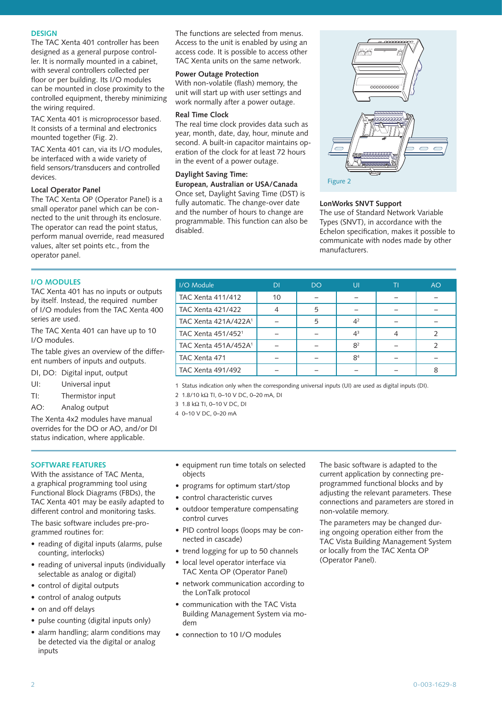# **DESIGN**

The TAC Xenta 401 controller has been designed as a general purpose controller. It is normally mounted in a cabinet, with several controllers collected per floor or per building. Its I/O modules can be mounted in close proximity to the controlled equipment, thereby minimizing the wiring required.

TAC Xenta 401 is microprocessor based. It consists of a terminal and electronics mounted together (Fig. 2).

TAC Xenta 401 can, via its I/O modules, be interfaced with a wide variety of field sensors/transducers and controlled devices.

# **Local Operator Panel**

The TAC Xenta OP (Operator Panel) is a small operator panel which can be connected to the unit through its enclosure. The operator can read the point status, perform manual override, read measured values, alter set points etc., from the operator panel.

The functions are selected from menus. Access to the unit is enabled by using an access code. It is possible to access other TAC Xenta units on the same network.

# **Power Outage Protection**

With non-volatile (flash) memory, the unit will start up with user settings and work normally after a power outage.

# **Real Time Clock**

The real time clock provides data such as year, month, date, day, hour, minute and second. A built-in capacitor maintains operation of the clock for at least 72 hours in the event of a power outage.

# **Daylight Saving Time:**

**European, Australian or USA/Canada** Once set, Daylight Saving Time (DST) is fully automatic. The change-over date and the number of hours to change are programmable. This function can also be disabled.



## **LonWorks SNVT Support**

The use of Standard Network Variable Types (SNVT), in accordance with the Echelon specification, makes it possible to communicate with nodes made by other manufacturers.

# **I/O MODULES**

TAC Xenta 401 has no inputs or outputs by itself. Instead, the required number of I/O modules from the TAC Xenta 400 series are used.

The TAC Xenta 401 can have up to 10 I/O modules.

The table gives an overview of the different numbers of inputs and outputs.

DI, DO: Digital input, output

- UI: Universal input
- TI: Thermistor input
- AO: Analog output

The Xenta 4x2 modules have manual overrides for the DO or AO, and/or DI status indication, where applicable.

# **SOFTWARE FEATURES**

With the assistance of TAC Menta, a graphical programming tool using Functional Block Diagrams (FBDs), the TAC Xenta 401 may be easily adapted to different control and monitoring tasks.

The basic software includes pre-programmed routines for:

- reading of digital inputs (alarms, pulse counting, interlocks)
- reading of universal inputs (individually selectable as analog or digital)
- control of digital outputs
- control of analog outputs
- on and off delays
- pulse counting (digital inputs only)
- alarm handling; alarm conditions may be detected via the digital or analog inputs

1 Status indication only when the corresponding universal inputs (UI) are used as digital inputs (DI).

I/O Module DI DO UI TI AO TAC Xenta 411/412 | 10 | – | – | – | – TAC Xenta 421/422 | 4 | 5 | – | – | – TAC Xenta 421A/422A<sup>1</sup> –  $\begin{vmatrix} 5 & 4^2 & -1 \end{vmatrix}$  –  $\begin{vmatrix} -1 & -1 & -1 \end{vmatrix}$ TAC Xenta 451/452<sup>1</sup> –  $\begin{vmatrix} -1 & -1 & 4^3 & 4 & 2 \end{vmatrix}$ TAC Xenta 451A/452A<sup>1</sup> –  $\begin{vmatrix} -2 & 8^2 & -1 \end{vmatrix}$  – 2 TAC Xenta 471 –  $\begin{vmatrix} - & 1 & - & 8^4 & - & - \end{vmatrix}$  –  $\begin{vmatrix} - & 1 & - & - \end{vmatrix}$ TAC Xenta 491/492 – – – – – – – – – – – 8

2 1.8/10 kΩ TI, 0–10 V DC, 0–20 mA, DI

3 1.8 kΩ TI, 0–10 V DC, DI

4 0–10 V DC, 0–20 mA

- equipment run time totals on selected objects
- programs for optimum start/stop
- control characteristic curves
- outdoor temperature compensating control curves
- PID control loops (loops may be connected in cascade)
- trend logging for up to 50 channels
- local level operator interface via TAC Xenta OP (Operator Panel)
- network communication according to the LonTalk protocol
- communication with the TAC Vista Building Management System via modem
- connection to 10 I/O modules

The basic software is adapted to the current application by connecting preprogrammed functional blocks and by adjusting the relevant parameters. These connections and parameters are stored in non-volatile memory.

The parameters may be changed during ongoing operation either from the TAC Vista Building Management System or locally from the TAC Xenta OP (Operator Panel).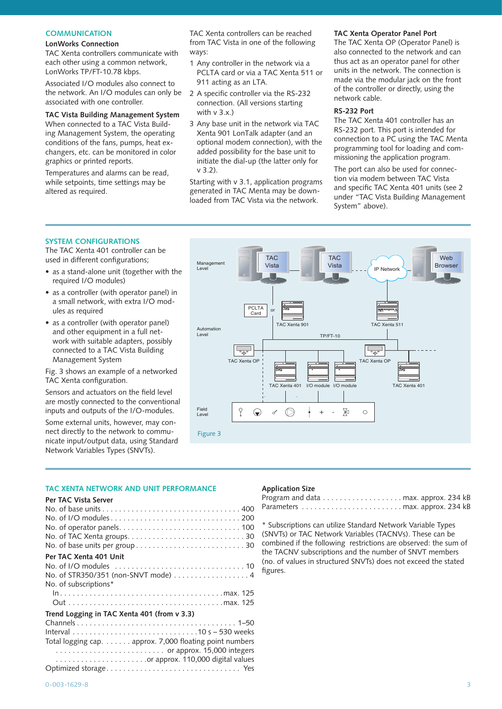# **COMMUNICATION**

## **LonWorks Connection**

TAC Xenta controllers communicate with each other using a common network, LonWorks TP/FT-10.78 kbps.

Associated I/O modules also connect to the network. An I/O modules can only be associated with one controller.

## **TAC Vista Building Management System**

When connected to a TAC Vista Building Management System, the operating conditions of the fans, pumps, heat exchangers, etc. can be monitored in color graphics or printed reports.

Temperatures and alarms can be read, while setpoints, time settings may be altered as required.

TAC Xenta controllers can be reached from TAC Vista in one of the following ways:

- 1 Any controller in the network via a PCLTA card or via a TAC Xenta 511 or 911 acting as an LTA.
- 2 A specific controller via the RS-232 connection. (All versions starting with  $v 3 x$ )
- 3 Any base unit in the network via TAC Xenta 901 LonTalk adapter (and an optional modem connection), with the added possibility for the base unit to initiate the dial-up (the latter only for v 3.2).

Starting with v 3.1, application programs generated in TAC Menta may be downloaded from TAC Vista via the network.

## **TAC Xenta Operator Panel Port**

The TAC Xenta OP (Operator Panel) is also connected to the network and can thus act as an operator panel for other units in the network. The connection is made via the modular jack on the front of the controller or directly, using the network cable.

#### **RS-232 Port**

The TAC Xenta 401 controller has an RS-232 port. This port is intended for connection to a PC using the TAC Menta programming tool for loading and commissioning the application program.

The port can also be used for connection via modem between TAC Vista and specific TAC Xenta 401 units (see 2 under "TAC Vista Building Management System" above).

# **SYSTEM CONFIGURATIONS**

The TAC Xenta 401 controller can be used in different configurations;

- as a stand-alone unit (together with the required I/O modules)
- as a controller (with operator panel) in a small network, with extra I/O modules as required
- as a controller (with operator panel) and other equipment in a full network with suitable adapters, possibly connected to a TAC Vista Building Management System

Fig. 3 shows an example of a networked TAC Xenta configuration.

Sensors and actuators on the field level are mostly connected to the conventional inputs and outputs of the I/O-modules.

Some external units, however, may connect directly to the network to communicate input/output data, using Standard Network Variables Types (SNVTs).



## **TAC XENTA NETWORK AND UNIT PERFORMANCE**

#### **Per TAC Vista Server**

| Per TAC Xenta 401 Unit                                  |
|---------------------------------------------------------|
|                                                         |
| No. of STR350/351 (non-SNVT mode) 4                     |
| No. of subscriptions*                                   |
|                                                         |
|                                                         |
| Trend Logging in TAC Xenta 401 (from v 3.3)             |
|                                                         |
|                                                         |
| Total logging cap. approx. 7,000 floating point numbers |
| or approx. 15,000 integers                              |
|                                                         |
|                                                         |

#### **Application Size**

\* Subscriptions can utilize Standard Network Variable Types (SNVTs) or TAC Network Variables (TACNVs). These can be combined if the following restrictions are observed: the sum of the TACNV subscriptions and the number of SNVT members (no. of values in structured SNVTs) does not exceed the stated figures.